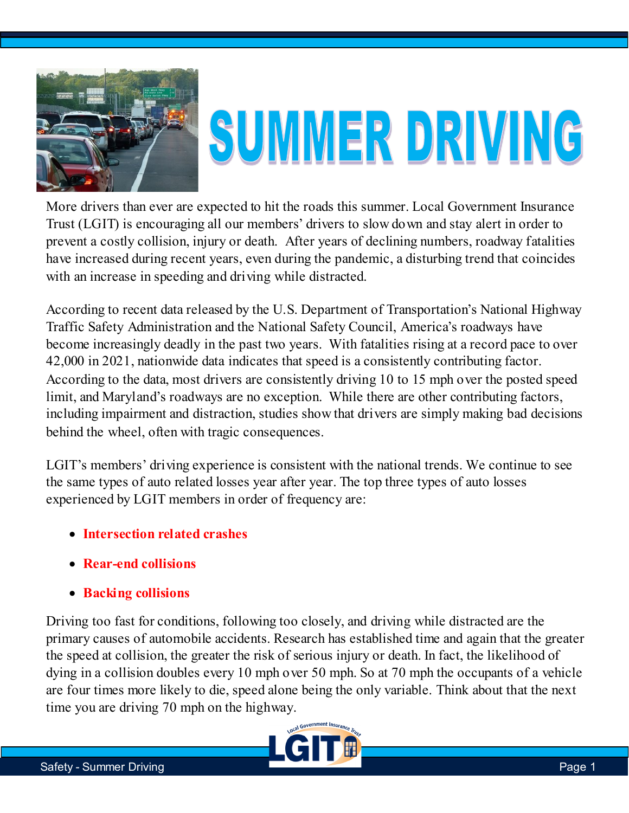

## SUMMER DRIVING

More drivers than ever are expected to hit the roads this summer. Local Government Insurance Trust (LGIT) is encouraging all our members' drivers to slow down and stay alert in order to prevent a costly collision, injury or death. After years of declining numbers, roadway fatalities have increased during recent years, even during the pandemic, a disturbing trend that coincides with an increase in speeding and driving while distracted.

According to recent data released by the U.S. Department of Transportation's National Highway Traffic Safety Administration and the National Safety Council, America's roadways have become increasingly deadly in the past two years. With fatalities rising at a record pace to over 42,000 in 2021, nationwide data indicates that speed is a consistently contributing factor. According to the data, most drivers are consistently driving 10 to 15 mph over the posted speed limit, and Maryland's roadways are no exception. While there are other contributing factors, including impairment and distraction, studies show that drivers are simply making bad decisions behind the wheel, often with tragic consequences.

LGIT's members' driving experience is consistent with the national trends. We continue to see the same types of auto related losses year after year. The top three types of auto losses experienced by LGIT members in order of frequency are:

- **Intersection related crashes**
- **Rear-end collisions**
- **Backing collisions**

Driving too fast for conditions, following too closely, and driving while distracted are the primary causes of automobile accidents. Research has established time and again that the greater the speed at collision, the greater the risk of serious injury or death. In fact, the likelihood of dying in a collision doubles every 10 mph over 50 mph. So at 70 mph the occupants of a vehicle are four times more likely to die, speed alone being the only variable. Think about that the next time you are driving 70 mph on the highway.